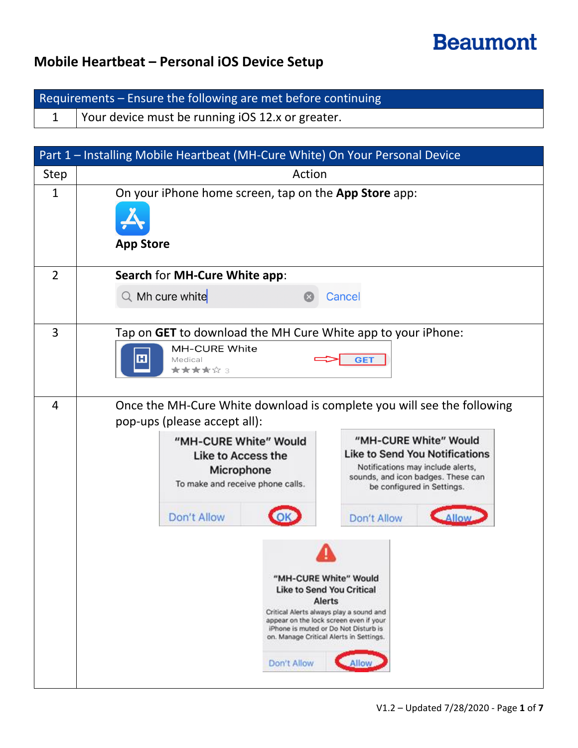# **Beaumont**

#### **Mobile Heartbeat – Personal iOS Device Setup**

Requirements – Ensure the following are met before continuing 1 Your device must be running iOS 12.x or greater.

|                | Part 1 - Installing Mobile Heartbeat (MH-Cure White) On Your Personal Device                                                                                                                                                                                                    |
|----------------|---------------------------------------------------------------------------------------------------------------------------------------------------------------------------------------------------------------------------------------------------------------------------------|
| Step           | Action                                                                                                                                                                                                                                                                          |
| $\mathbf{1}$   | On your iPhone home screen, tap on the App Store app:<br><b>App Store</b>                                                                                                                                                                                                       |
| $\overline{2}$ | Search for MH-Cure White app:                                                                                                                                                                                                                                                   |
|                | $Q$ Mh cure white<br>Cancel                                                                                                                                                                                                                                                     |
| $\overline{3}$ | Tap on GET to download the MH Cure White app to your iPhone:<br><b>MH-CURE White</b><br>н<br>Medical<br><b>GET</b><br>★★★★☆ 3                                                                                                                                                   |
| $\overline{4}$ | Once the MH-Cure White download is complete you will see the following<br>pop-ups (please accept all):                                                                                                                                                                          |
|                | "MH-CURE White" Would<br>"MH-CURE White" Would<br><b>Like to Send You Notifications</b><br><b>Like to Access the</b><br>Notifications may include alerts,<br>Microphone<br>sounds, and icon badges. These can<br>To make and receive phone calls.<br>be configured in Settings. |
|                | Don't Allow<br>Don't Allow<br>Allo                                                                                                                                                                                                                                              |
|                | "MH-CURE White" Would<br><b>Like to Send You Critical</b><br>Alerts<br>Critical Alerts always play a sound and<br>appear on the lock screen even if your<br>iPhone is muted or Do Not Disturb is<br>on. Manage Critical Alerts in Settings.<br>Don't Allow                      |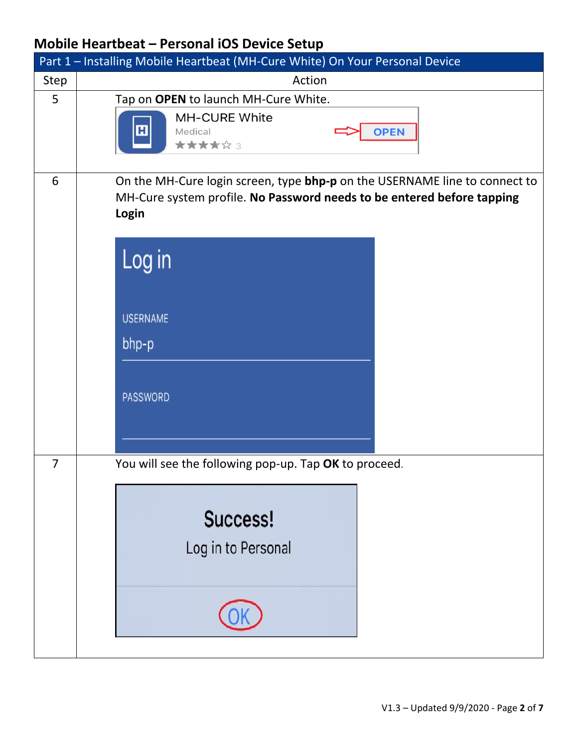|                | Part 1 - Installing Mobile Heartbeat (MH-Cure White) On Your Personal Device                                                                                                                                    |
|----------------|-----------------------------------------------------------------------------------------------------------------------------------------------------------------------------------------------------------------|
| Step           | Action                                                                                                                                                                                                          |
| 5              | Tap on OPEN to launch MH-Cure White.<br><b>MH-CURE White</b><br>田<br><b>OPEN</b><br>Medical<br>*****3                                                                                                           |
| 6              | On the MH-Cure login screen, type bhp-p on the USERNAME line to connect to<br>MH-Cure system profile. No Password needs to be entered before tapping<br>Login<br>Log in<br><b>USERNAME</b><br>bhp-p<br>PASSWORD |
| $\overline{7}$ | You will see the following pop-up. Tap OK to proceed.<br>Success!<br>Log in to Personal                                                                                                                         |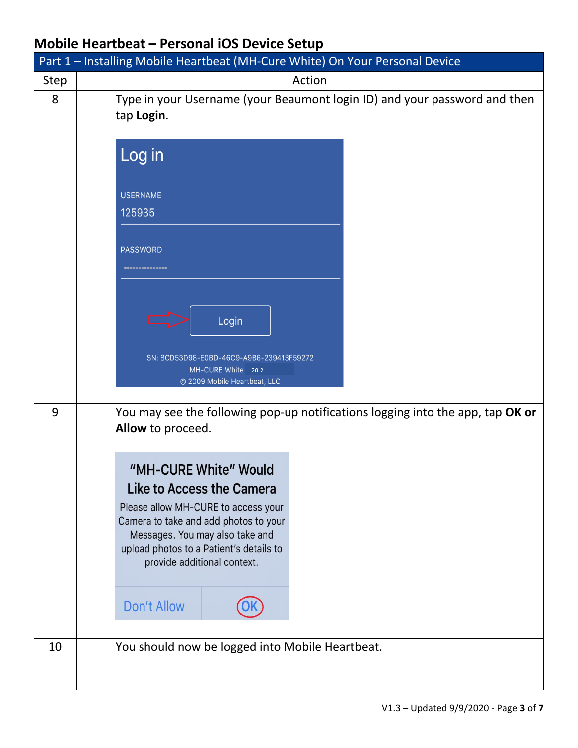|             | Part 1 - Installing Mobile Heartbeat (MH-Cure White) On Your Personal Device                                                                                                                                                                    |
|-------------|-------------------------------------------------------------------------------------------------------------------------------------------------------------------------------------------------------------------------------------------------|
| <b>Step</b> | Action                                                                                                                                                                                                                                          |
| 8           | Type in your Username (your Beaumont login ID) and your password and then<br>tap Login.                                                                                                                                                         |
|             | Log in                                                                                                                                                                                                                                          |
|             | <b>USERNAME</b><br>125935                                                                                                                                                                                                                       |
|             | <b>PASSWORD</b><br>***************                                                                                                                                                                                                              |
|             | Login                                                                                                                                                                                                                                           |
|             | SN: 8CD53D98-E0BD-46C9-A9B6-239413F59272<br>MH-CURE White 20.2<br>© 2009 Mobile Heartbeat, LLC                                                                                                                                                  |
| 9           | You may see the following pop-up notifications logging into the app, tap OK or<br>Allow to proceed.                                                                                                                                             |
|             | "MH-CURE White" Would<br>Like to Access the Camera<br>Please allow MH-CURE to access your<br>Camera to take and add photos to your<br>Messages. You may also take and<br>upload photos to a Patient's details to<br>provide additional context. |
|             | Don't Allow                                                                                                                                                                                                                                     |
| 10          | You should now be logged into Mobile Heartbeat.                                                                                                                                                                                                 |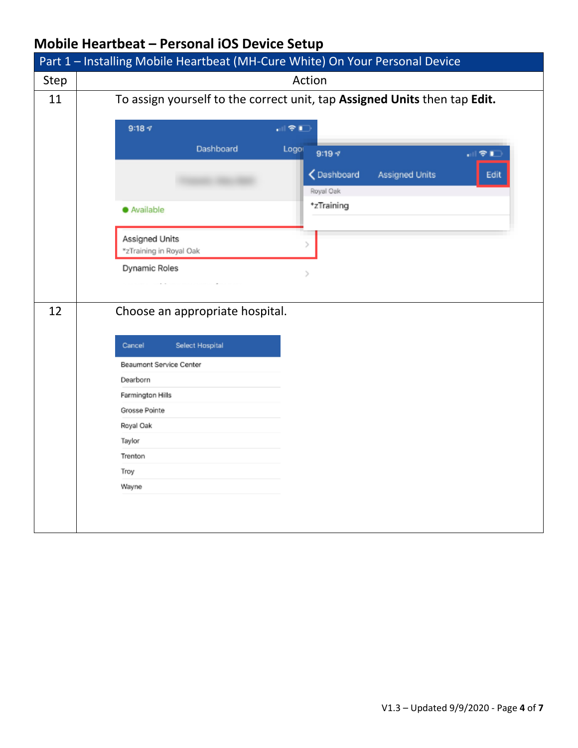|      | Part 1 - Installing Mobile Heartbeat (MH-Cure White) On Your Personal Device |
|------|------------------------------------------------------------------------------|
| Step | Action                                                                       |
| 11   | To assign yourself to the correct unit, tap Assigned Units then tap Edit.    |
|      |                                                                              |
|      | $9:18 \text{ } 7$<br>해오다                                                     |
|      | Dashboard<br>Logo<br>$9:19 - 7$<br>해오트                                       |
|      | ← Dashboard<br><b>Assigned Units</b><br>Edit                                 |
|      | Royal Oak                                                                    |
|      | *zTraining<br>· Available                                                    |
|      | Assigned Units                                                               |
|      | Ъ<br>*zTraining in Royal Oak                                                 |
|      | Dynamic Roles                                                                |
|      |                                                                              |
| 12   | Choose an appropriate hospital.                                              |
|      |                                                                              |
|      | Cancel<br>Select Hospital                                                    |
|      | Beaumont Service Center                                                      |
|      | Dearborn                                                                     |
|      | Farmington Hills                                                             |
|      | Grosse Pointe                                                                |
|      | Royal Oak                                                                    |
|      | Taylor                                                                       |
|      | Trenton                                                                      |
|      | Troy<br>Wayne                                                                |
|      |                                                                              |
|      |                                                                              |
|      |                                                                              |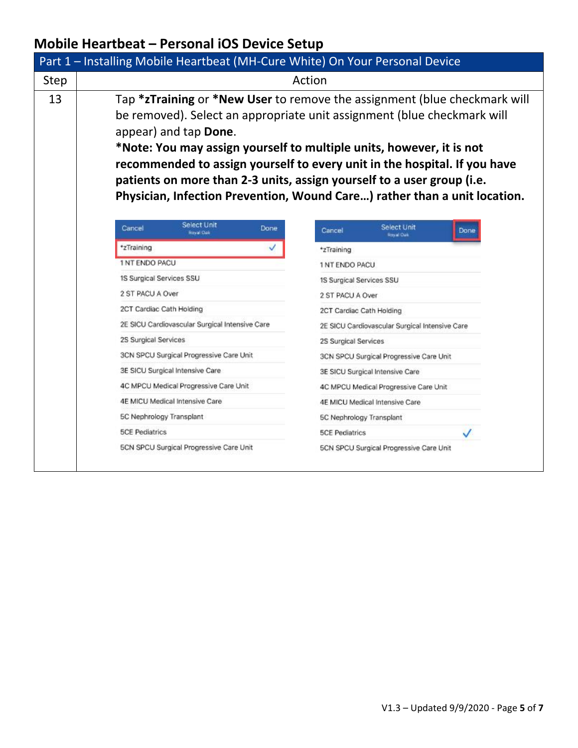|      | Part 1 - Installing Mobile Heartbeat (MH-Cure White) On Your Personal Device                                                                                                                                                                                                                                                                                                                                                                                                              |
|------|-------------------------------------------------------------------------------------------------------------------------------------------------------------------------------------------------------------------------------------------------------------------------------------------------------------------------------------------------------------------------------------------------------------------------------------------------------------------------------------------|
| Step | Action                                                                                                                                                                                                                                                                                                                                                                                                                                                                                    |
| 13   | Tap *zTraining or *New User to remove the assignment (blue checkmark will<br>be removed). Select an appropriate unit assignment (blue checkmark will<br>appear) and tap Done.<br>*Note: You may assign yourself to multiple units, however, it is not<br>recommended to assign yourself to every unit in the hospital. If you have<br>patients on more than 2-3 units, assign yourself to a user group (i.e.<br>Physician, Infection Prevention, Wound Care) rather than a unit location. |
|      | Select Unit<br>Select Unit<br>Cancel<br>Done<br>Cancel<br>Done<br><b>Royal Oak</b><br><b>Raval Oak</b>                                                                                                                                                                                                                                                                                                                                                                                    |
|      | *zTraining<br>✓<br>*zTraining                                                                                                                                                                                                                                                                                                                                                                                                                                                             |
|      | 1 NT ENDO PACU<br>1 NT ENDO PACU                                                                                                                                                                                                                                                                                                                                                                                                                                                          |
|      | 1S Surgical Services SSU<br>1S Surgical Services SSU                                                                                                                                                                                                                                                                                                                                                                                                                                      |
|      | 2 ST PACU A Over<br>2 ST PACU A Over                                                                                                                                                                                                                                                                                                                                                                                                                                                      |
|      | 2CT Cardiac Cath Holding<br>2CT Cardiac Cath Holding                                                                                                                                                                                                                                                                                                                                                                                                                                      |
|      | 2E SICU Cardiovascular Surgical Intensive Care<br>2E SICU Cardiovascular Surgical Intensive Care                                                                                                                                                                                                                                                                                                                                                                                          |
|      | 2S Surgical Services<br>2S Surgical Services                                                                                                                                                                                                                                                                                                                                                                                                                                              |
|      | 3CN SPCU Surgical Progressive Care Unit<br>3CN SPCU Surgical Progressive Care Unit                                                                                                                                                                                                                                                                                                                                                                                                        |
|      | 3E SICU Surgical Intensive Care<br>3E SICU Surgical Intensive Care                                                                                                                                                                                                                                                                                                                                                                                                                        |
|      | 4C MPCU Medical Progressive Care Unit<br>4C MPCU Medical Progressive Care Unit                                                                                                                                                                                                                                                                                                                                                                                                            |
|      | 4E MICU Medical Intensive Care<br>4E MICU Medical Intensive Care                                                                                                                                                                                                                                                                                                                                                                                                                          |
|      | 5C Nephrology Transplant<br>5C Nephrology Transplant                                                                                                                                                                                                                                                                                                                                                                                                                                      |
|      | <b>5CE Pediatrics</b><br><b>5CE Pediatrics</b>                                                                                                                                                                                                                                                                                                                                                                                                                                            |
|      | 5CN SPCU Surgical Progressive Care Unit<br>5CN SPCU Surgical Progressive Care Unit                                                                                                                                                                                                                                                                                                                                                                                                        |